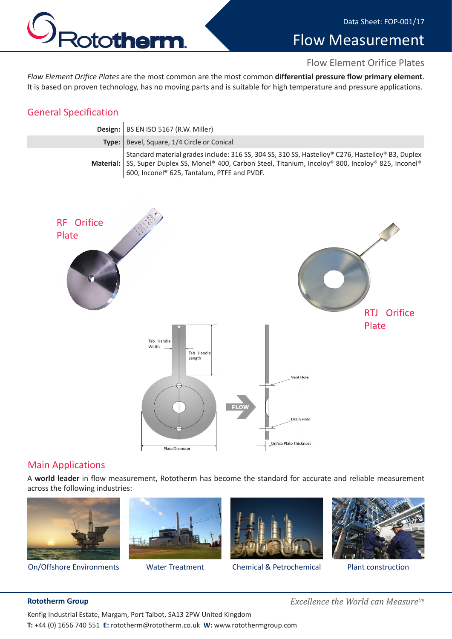



# Flow Measurement

#### Flow Element Orifice Plates

*Flow Element Orifice Plates* are the most common are the most common **differential pressure flow primary element**. It is based on proven technology, has no moving parts and is suitable for high temperature and pressure applications.

### General Specification

| Design:   BS EN ISO 5167 (R.W. Miller)                                                                                                                                                                                                                     |
|------------------------------------------------------------------------------------------------------------------------------------------------------------------------------------------------------------------------------------------------------------|
| Type:   Bevel, Square, 1/4 Circle or Conical                                                                                                                                                                                                               |
| Standard material grades include: 316 SS, 304 SS, 310 SS, Hastelloy® C276, Hastelloy® B3, Duplex<br>Material: SS, Super Duplex SS, Monel® 400, Carbon Steel, Titanium, Incoloy® 800, Incoloy® 825, Inconel®<br>600, Inconel® 625, Tantalum, PTFE and PVDF. |



### Main Applications

A **world leader** in flow measurement, Rototherm has become the standard for accurate and reliable measurement across the following industries:







On/Offshore Environments Water Treatment Chemical & Petrochemical Plant construction



**Rototherm Group** *Excellence the World can Measuretm*

Kenfig Industrial Estate, Margam, Port Talbot, SA13 2PW United Kingdom **T:** +44 (0) 1656 740 551 **E:** rototherm@rototherm.co.uk **W:** www.rotothermgroup.com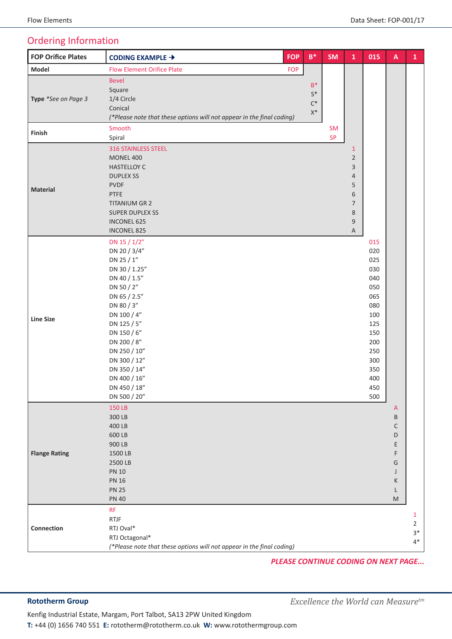## Ordering Information

| <b>FOP Orifice Plates</b> | CODING EXAMPLE →                                                      | <b>FOP</b>   | $\mathsf{B}^*$ | <b>SM</b> | $\mathbf{1}$   | 015 | $\mathsf{A}$ | $\mathbf{1}$   |
|---------------------------|-----------------------------------------------------------------------|--------------|----------------|-----------|----------------|-----|--------------|----------------|
| Model                     | <b>Flow Element Orifice Plate</b>                                     | <b>FOP</b>   |                |           |                |     |              |                |
|                           | <b>Bevel</b>                                                          |              |                |           |                |     |              |                |
| Type *See on Page 3       | Square                                                                |              | $B^*$          |           |                |     |              |                |
|                           | 1/4 Circle                                                            |              | $\mathsf{S}^*$ |           |                |     |              |                |
|                           | Conical                                                               |              | $C^*$          |           |                |     |              |                |
|                           | (*Please note that these options will not appear in the final coding) |              | $\mathsf{X}^*$ |           |                |     |              |                |
|                           | Smooth                                                                |              |                | <b>SM</b> |                |     |              |                |
| Finish                    | Spiral                                                                |              |                | <b>SP</b> |                |     |              |                |
|                           | <b>316 STAINLESS STEEL</b>                                            | $\mathbf{1}$ |                |           |                |     |              |                |
|                           | <b>MONEL 400</b>                                                      |              |                |           | $\overline{2}$ |     |              |                |
|                           | <b>HASTELLOY C</b>                                                    |              |                |           | 3              |     |              |                |
|                           | <b>DUPLEX SS</b>                                                      |              |                |           | 4              |     |              |                |
|                           | <b>PVDF</b>                                                           |              |                |           | 5              |     |              |                |
| <b>Material</b>           | PTFE                                                                  |              |                |           | 6              |     |              |                |
|                           | <b>TITANIUM GR 2</b>                                                  |              |                |           | $\overline{7}$ |     |              |                |
|                           | <b>SUPER DUPLEX SS</b>                                                |              |                |           | 8              |     |              |                |
|                           | <b>INCONEL 625</b>                                                    |              |                |           | 9              |     |              |                |
|                           | <b>INCONEL 825</b>                                                    |              |                |           | A              |     |              |                |
|                           | DN 15 / 1/2"                                                          |              |                |           |                | 015 |              |                |
|                           | DN 20 / 3/4"                                                          |              |                |           |                | 020 |              |                |
|                           | DN 25 / 1"                                                            |              |                |           |                | 025 |              |                |
|                           | DN 30 / 1.25"                                                         |              |                |           |                | 030 |              |                |
|                           | DN 40 / 1.5"                                                          |              |                |           |                | 040 |              |                |
|                           | DN 50 / 2"                                                            |              |                |           |                | 050 |              |                |
|                           | DN 65 / 2.5"                                                          |              |                |           |                | 065 |              |                |
|                           | DN 80 / 3"                                                            |              |                |           |                | 080 |              |                |
| <b>Line Size</b>          | DN 100 / 4"                                                           |              |                |           |                | 100 |              |                |
|                           | DN 125 / 5"                                                           |              |                |           |                | 125 |              |                |
|                           | DN 150 / 6"                                                           |              |                |           |                | 150 |              |                |
|                           | DN 200 / 8"                                                           |              |                |           |                | 200 |              |                |
|                           | DN 250 / 10"                                                          |              |                |           |                | 250 |              |                |
|                           | DN 300 / 12"                                                          |              |                |           |                | 300 |              |                |
|                           | DN 350 / 14"                                                          |              |                |           |                | 350 |              |                |
|                           | DN 400 / 16"                                                          |              |                |           |                | 400 |              |                |
|                           | DN 450 / 18"                                                          |              |                |           |                | 450 |              |                |
|                           | DN 500 / 20"                                                          |              |                |           |                | 500 |              |                |
|                           | 150 LB                                                                |              |                |           |                |     | $\mathsf{A}$ |                |
|                           | 300 LB                                                                |              |                |           |                |     | B            |                |
|                           | 400 LB                                                                |              |                |           |                |     | $\mathsf C$  |                |
|                           | 600 LB                                                                |              |                |           |                |     | D            |                |
|                           | 900 LB                                                                |              |                |           |                |     | Ε            |                |
| <b>Flange Rating</b>      | 1500 LB                                                               |              |                |           |                |     | F            |                |
|                           | 2500 LB                                                               |              |                |           |                |     | G            |                |
|                           | <b>PN 10</b>                                                          |              |                |           |                |     | J            |                |
|                           | <b>PN 16</b>                                                          |              |                |           |                |     | K            |                |
|                           | <b>PN 25</b>                                                          |              |                |           |                |     | L            |                |
|                           | <b>PN 40</b>                                                          |              |                |           |                |     | M            |                |
|                           | <b>RF</b>                                                             |              |                |           |                |     |              | $\mathbf{1}$   |
|                           | <b>RTJF</b>                                                           |              |                |           |                |     |              | $\overline{2}$ |
| Connection                | RTJ Oval*                                                             |              |                |           |                |     |              | $3*$           |
|                           | RTJ Octagonal*                                                        |              |                |           |                |     |              | $4*$           |
|                           | (*Please note that these options will not appear in the final coding) |              |                |           |                |     |              |                |

*PLEASE CONTINUE CODING ON NEXT PAGE...*

**Rototherm Group** *Excellence the World can Measuretm*

Kenfig Industrial Estate, Margam, Port Talbot, SA13 2PW United Kingdom **T:** +44 (0) 1656 740 551 **E:** rototherm@rototherm.co.uk **W:** www.rotothermgroup.com